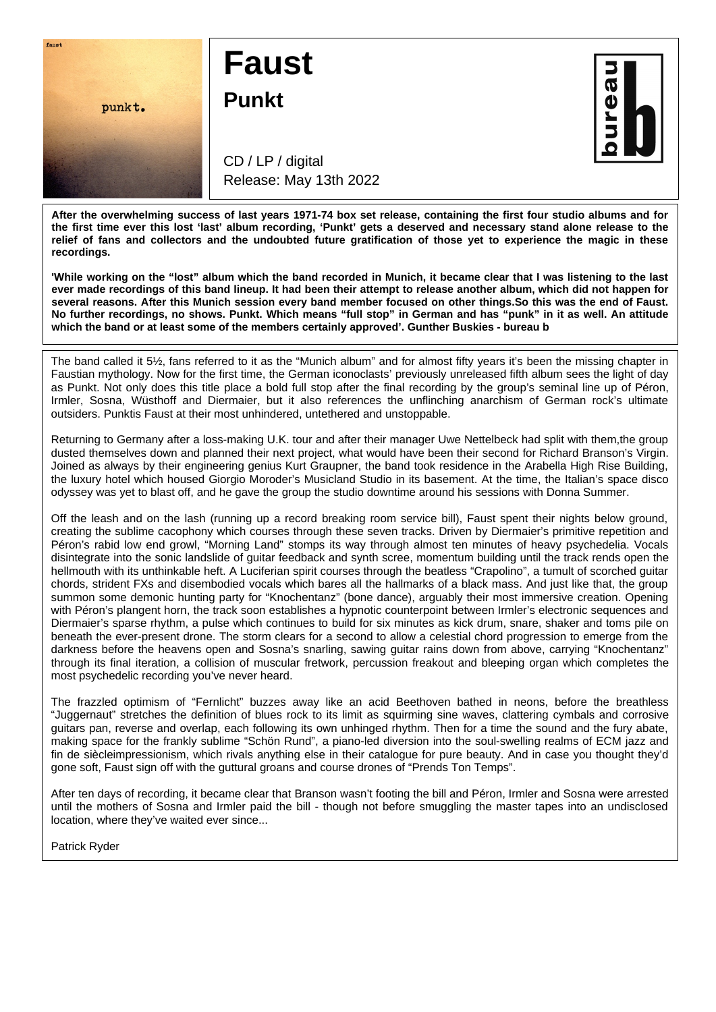

## **Faust**

**Punkt**

 $\overline{\mathbf{p}}$ 

CD / LP / digital Release: May 13th 2022

**After the overwhelming success of last years 1971-74 box set release, containing the first four studio albums and for the first time ever this lost 'last' album recording, 'Punkt' gets a deserved and necessary stand alone release to the relief of fans and collectors and the undoubted future gratification of those yet to experience the magic in these recordings.**

**'While working on the "lost" album which the band recorded in Munich, it became clear that I was listening to the last ever made recordings of this band lineup. It had been their attempt to release another album, which did not happen for several reasons. After this Munich session every band member focused on other things.So this was the end of Faust. No further recordings, no shows. Punkt. Which means "full stop" in German and has "punk" in it as well. An attitude which the band or at least some of the members certainly approved'. Gunther Buskies - bureau b**

The band called it 5½, fans referred to it as the "Munich album" and for almost fifty years it's been the missing chapter in Faustian mythology. Now for the first time, the German iconoclasts' previously unreleased fifth album sees the light of day as Punkt. Not only does this title place a bold full stop after the final recording by the group's seminal line up of Péron, Irmler, Sosna, Wüsthoff and Diermaier, but it also references the unflinching anarchism of German rock's ultimate outsiders. Punktis Faust at their most unhindered, untethered and unstoppable.

Returning to Germany after a loss-making U.K. tour and after their manager Uwe Nettelbeck had split with them,the group dusted themselves down and planned their next project, what would have been their second for Richard Branson's Virgin. Joined as always by their engineering genius Kurt Graupner, the band took residence in the Arabella High Rise Building, the luxury hotel which housed Giorgio Moroder's Musicland Studio in its basement. At the time, the Italian's space disco odyssey was yet to blast off, and he gave the group the studio downtime around his sessions with Donna Summer.

Off the leash and on the lash (running up a record breaking room service bill), Faust spent their nights below ground, creating the sublime cacophony which courses through these seven tracks. Driven by Diermaier's primitive repetition and Péron's rabid low end growl, "Morning Land" stomps its way through almost ten minutes of heavy psychedelia. Vocals disintegrate into the sonic landslide of guitar feedback and synth scree, momentum building until the track rends open the hellmouth with its unthinkable heft. A Luciferian spirit courses through the beatless "Crapolino", a tumult of scorched guitar chords, strident FXs and disembodied vocals which bares all the hallmarks of a black mass. And just like that, the group summon some demonic hunting party for "Knochentanz" (bone dance), arguably their most immersive creation. Opening with Péron's plangent horn, the track soon establishes a hypnotic counterpoint between Irmler's electronic sequences and Diermaier's sparse rhythm, a pulse which continues to build for six minutes as kick drum, snare, shaker and toms pile on beneath the ever-present drone. The storm clears for a second to allow a celestial chord progression to emerge from the darkness before the heavens open and Sosna's snarling, sawing guitar rains down from above, carrying "Knochentanz" through its final iteration, a collision of muscular fretwork, percussion freakout and bleeping organ which completes the most psychedelic recording you've never heard.

The frazzled optimism of "Fernlicht" buzzes away like an acid Beethoven bathed in neons, before the breathless "Juggernaut" stretches the definition of blues rock to its limit as squirming sine waves, clattering cymbals and corrosive guitars pan, reverse and overlap, each following its own unhinged rhythm. Then for a time the sound and the fury abate, making space for the frankly sublime "Schön Rund", a piano-led diversion into the soul-swelling realms of ECM jazz and fin de siècleimpressionism, which rivals anything else in their catalogue for pure beauty. And in case you thought they'd gone soft, Faust sign off with the guttural groans and course drones of "Prends Ton Temps".

After ten days of recording, it became clear that Branson wasn't footing the bill and Péron, Irmler and Sosna were arrested until the mothers of Sosna and Irmler paid the bill - though not before smuggling the master tapes into an undisclosed location, where they've waited ever since...

Patrick Ryder